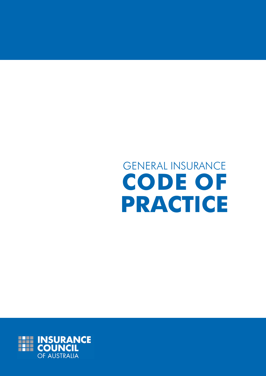# GENERAL INSURANCE **CODE OF PRACTICE**

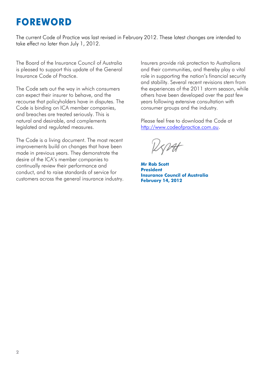### **FOREWORD**

The current Code of Practice was last revised in February 2012. These latest changes are intended to take effect no later than July 1, 2012.

The Board of the Insurance Council of Australia is pleased to support this update of the General Insurance Code of Practice.

The Code sets out the way in which consumers can expect their insurer to behave, and the recourse that policyholders have in disputes. The Code is binding on ICA member companies, and breaches are treated seriously. This is natural and desirable, and complements legislated and regulated measures.

The Code is a living document. The most recent improvements build on changes that have been made in previous years. They demonstrate the desire of the ICA's member companies to continually review their performance and conduct, and to raise standards of service for customers across the general insurance industry. Insurers provide risk protection to Australians and their communities, and thereby play a vital role in supporting the nation's financial security and stability. Several recent revisions stem from the experiences of the 2011 storm season, while others have been developed over the past few years following extensive consultation with consumer groups and the industry.

Please feel free to download the Code at [http://www.codeofpractice.com.au.](http://www.codeofpractice.com.au/)

**Mr Rob Scott President Insurance Council of Australia February 14, 2012**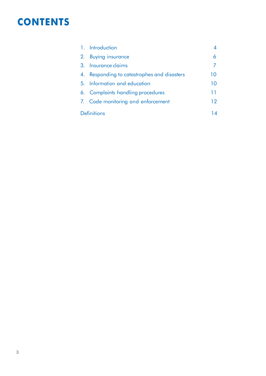### **CONTENTS**

|                    | 1. Introduction                          |    |
|--------------------|------------------------------------------|----|
| 2.                 | <b>Buying insurance</b>                  |    |
|                    | 3. Insurance claims                      |    |
| 4.                 | Responding to catastrophes and disasters | 10 |
|                    | 5. Information and education             | 10 |
|                    | 6. Complaints handling procedures        | 11 |
|                    | 7. Code monitoring and enforcement       | 12 |
| <b>Definitions</b> |                                          | 14 |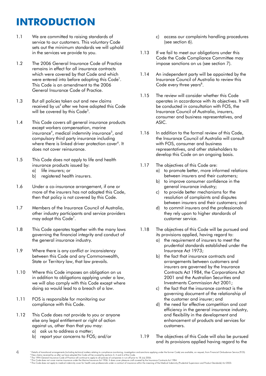# **INTRODUCTION**

- 1.1 We are committed to raising standards of service to our customers. This voluntary Code sets out the minimum standards we will uphold in the services we provide to you.
- 1.2 The 2006 General Insurance Code of Practice remains in effect for all insurance contracts which were covered by that Code and which were entered into before adopting this Code<sup>1</sup>. This Code is an amendment to the 2006 General Insurance Code of Practice.
- 1.3 But all policies taken out and new claims received by us<sup>2</sup> after we have adopted this Code will be covered by this Code<sup>3</sup>.
- 1.4 This Code covers all general insurance products except workers compensation, marine insurance<sup>4</sup>, medical indemnity insurance<sup>5</sup>, and compulsory third party insurance including where there is linked driver protection cover<sup>6</sup>. It does not cover reinsurance.
- 1.5 This Code does not apply to life and health insurance products issued by:
	- a) life insurers; or
	- b) registered health insurers.
- 1.6 Under a co-insurance arrangement, if one or more of the insurers has not adopted this Code, then that policy is not covered by this Code.
- 1.7 Members of the Insurance Council of Australia, other industry participants and service providers may adopt this Code<sup>7</sup>.
- 1.8 This Code operates together with the many laws governing the financial integrity and conduct of the general insurance industry.
- 1.9 Where there is any conflict or inconsistency between this Code and any Commonwealth, State or Territory law, that law prevails.
- 1.10 Where this Code imposes an obligation on us in addition to obligations applying under a law, we will also comply with this Code except where doing so would lead to a breach of a law.
- 1.11 FOS is responsible for monitoring our compliance with this Code.
- 1.12 This Code does not provide to you or anyone else any legal entitlement or right of action against us, other than that you may:
	- a) ask us to address a matter;
	- b) report your concerns to FOS; and/or
- c) access our complaints handling procedures (see section 6).
- 1.13 If we fail to meet our obligations under this Code the Code Compliance Committee may impose sanctions on us (see section 7).
- 1.14 An independent party will be appointed by the Insurance Council of Australia to review this Code every three years<sup>8</sup>.
- 1.15 The review will consider whether this Code operates in accordance with its objectives. It will be conducted in consultation with FOS, the Insurance Council of Australia, insurers, consumer and business representatives, and ASIC.
- 1.16 In addition to the formal review of this Code, the Insurance Council of Australia will consult with FOS, consumer and business representatives, and other stakeholders to develop this Code on an ongoing basis.
- 1.17 The objectives of this Code are:
	- a) to promote better, more informed relations between insurers and their customers;
	- b) to improve consumer confidence in the general insurance industry;
	- c) to provide better mechanisms for the resolution of complaints and disputes between insurers and their customers; and
	- d) to commit insurers and the professionals they rely upon to higher standards of customer service.
- 1.18 The objectives of this Code will be pursued and its provisions applied, having regard to:
	- a) the requirement of insurers to meet the prudential standards established under the Insurance Act 1973;
	- b) the fact that insurance contracts and arrangements between customers and insurers are governed by the Insurance Contracts Act 1984, the Corporations Act 2001 and the Australian Securities and Investments Commission Act 2001;
	- c) the fact that the insurance contract is the governing document of the relationship of the customer and insurer; and
	- d) the need for effective competition and cost efficiency in the general insurance industry, and flexibility in the development and enhancement of products and services for customers.
- 1.19 The objectives of this Code will also be pursued and its provisions applied having regard to the

**<sup>4</sup>** <sup>1</sup> Details of transitional arrangements (including technical matters relating to compliance monitoring, investigation and sanctions applying under the former Code) are available, on request, from Financial Ombudsman Serv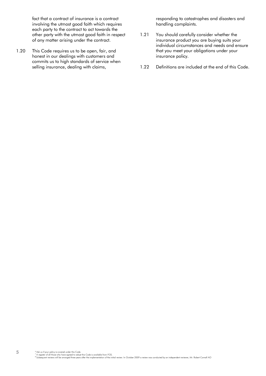fact that a contract of insurance is a contract involving the utmost good faith which requires each party to the contract to act towards the other party with the utmost good faith in respect of any matter arising under the contract.

1.20 This Code requires us to be open, fair, and honest in our dealings with customers and commits us to high standards of service when selling insurance, dealing with claims,

responding to catastrophes and disasters and handling complaints.

- 1.21 You should carefully consider whether the insurance product you are buying suits your individual circumstances and needs and ensure that you meet your obligations under your insurance policy.
- 1.22 Definitions are included at the end of this Code.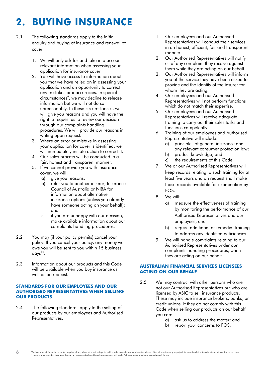# **2. BUYING INSURANCE**

- 2.1 The following standards apply to the initial enquiry and buying of insurance and renewal of cover.
	- 1. We will only ask for and take into account relevant information when assessing your application for insurance cover.
	- 2. You will have access to information about you that we have relied on in assessing your application and an opportunity to correct any mistakes or inaccuracies. In special circumstances<sup>9</sup>, we may decline to release information but we will not do so unreasonably. In these circumstances, we will give you reasons and you will have the right to request us to review our decision through our complaints handling procedures. We will provide our reasons in writing upon request.
	- 3. Where an error or mistake in assessing your application for cover is identified, we will immediately initiate action to correct it.
	- 4. Our sales process will be conducted in a fair, honest and transparent manner.
	- 5. If we cannot provide you with insurance cover, we will:
		- a) give you reasons;
		- b) refer you to another insurer, Insurance Council of Australia or NIBA for information about alternative insurance options (unless you already have someone acting on your behalf); and
		- c) if you are unhappy with our decision, make available information about our complaints handling procedures.
- 2.2 You may (if your policy permits) cancel your policy. If you cancel your policy, any money we owe you will be sent to you within 15 business days<sup>10</sup>.
- 2.3 Information about our products and this Code will be available when you buy insurance as well as on request.

#### **STANDARDS FOR OUR EMPLOYEES AND OUR AUTHORISED REPRESENTATIVES WHEN SELLING OUR PRODUCTS**

2.4 The following standards apply to the selling of our products by our employees and Authorised Representatives.

- 1. Our employees and our Authorised Representatives will conduct their services in an honest, efficient, fair and transparent manner.
- 2. Our Authorised Representatives will notify us of any complaint they receive against them while they are acting on our behalf.
- 3. Our Authorised Representatives will inform you of the service they have been asked to provide and the identity of the insurer for whom they are acting.
- 4. Our employees and our Authorised Representatives will not perform functions which do not match their expertise.
- 5. Our employees and our Authorised Representatives will receive adequate training to carry out their sales tasks and functions competently.
- 6. Training of our employees and Authorised Representative will include:
	- principles of general insurance and any relevant consumer protection law;
	- b) product knowledge; and
	- c) the requirements of this Code.
- 7. We or our Authorised Representatives will keep records relating to such training for at least five years and on request shall make those records available for examination by FOS.
- 8. We will:
	- a) measure the effectiveness of training by monitoring the performance of our Authorised Representatives and our employees; and
	- b) require additional or remedial training to address any identified deficiencies.
- 9. We will handle complaints relating to our Authorised Representatives under our complaints handling procedures, when they are acting on our behalf.

### **AUSTRALIAN FINANCIAL SERVICES LICENSEES ACTING ON OUR BEHALF**

- 2.5 We may contract with other persons who are not our Authorised Representatives but who are licensed by ASIC to sell insurance products. These may include insurance brokers, banks, or credit unions. If they do not comply with this Code when selling our products on our behalf you can:
	- a) ask us to address the matter; and
	- b) report your concerns to FOS.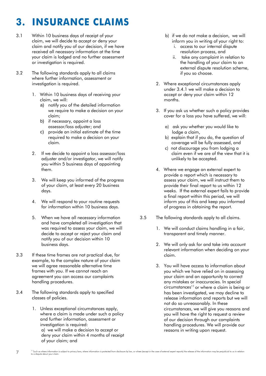# **3. INSURANCE CLAIMS**

- 3.1 Within 10 business days of receipt of your claim, we will decide to accept or deny your claim and notify you of our decision, if we have received all necessary information at the time your claim is lodged and no further assessment or investigation is required.
- 3.2 The following standards apply to all claims where further information, assessment or investigation is required.
	- 1. Within 10 business days of receiving your claim, we will:
		- a) notify you of the detailed information we require to make a decision on your claim;
		- b) if necessary, appoint a loss assessor/loss adjuster; and
		- c) provide an initial estimate of the time required to make a decision on your claim.
	- 2. If we decide to appoint a loss assessor/loss adjuster and/or investigator, we will notify you within 5 business days of appointing them.
	- 3. We will keep you informed of the progress of your claim, at least every 20 business days.
	- 4. We will respond to your routine requests for information within 10 business days.
	- 5. When we have all necessary information and have completed all investigation that was required to assess your claim, we will decide to accept or reject your claim and notify you of our decision within 10 business days.
- 3.3 If these time frames are not practical due, for example, to the complex nature of your claim we will agree reasonable alternative time frames with you. If we cannot reach an agreement you can access our complaints handling procedures.
- 3.4 The following standards apply to specified classes of policies.
	- 1. Unless exceptional circumstances apply, where a claim is made under such a policy and further information, assessment or investigation is required:

a) we will make a decision to accept or deny your claim within 4 months of receipt of your claim; and

- b) if we do not make a decision, we will inform you in writing of your right to:
	- i. access to our internal dispute resolution process, and
	- ii. take any complaint in relation to the handling of your claim to an external dispute resolution scheme, if you so choose.
- 2. Where exceptional circumstances apply under 3.4.1 we will make a decision to accept or deny your claim within 12 months.
- 3. If you ask us whether such a policy provides cover for a loss you have suffered, we will:
	- a) ask you whether you would like to lodge a claim,
	- b) explain that if you do, the question of coverage will be fully assessed, and
	- c) not discourage you from lodging a claim even if we are of the view that it is unlikely to be accepted.
- 4. Where we engage an external expert to provide a report which is necessary to assess your claim, we will instruct them to provide their final report to us within 12 weeks. If the external expert fails to provide a final report within this period, we will inform you of this and keep you informed of progress in obtaining the report.
- 3.5 The following standards apply to all claims.
	- 1. We will conduct claims handling in a fair, transparent and timely manner.
	- 2. We will only ask for and take into account relevant information when deciding on your claim.
	- 3. You will have access to information about you which we have relied on in assessing your claim and an opportunity to correct any mistakes or inaccuracies. In special  $circ$ umstances<sup>11</sup> or where a claim is being or has been investigated, we may decline to release information and reports but we will not do so unreasonably. In these circumstances, we will give you reasons and you will have the right to request a review of our decision through our complaints handling procedures. We will provide our reasons in writing upon request.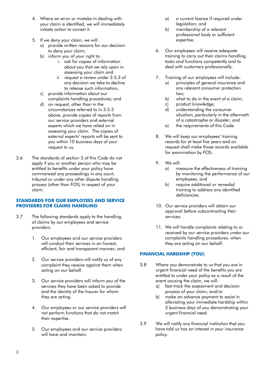- 4. Where an error or mistake in dealing with your claim is identified, we will immediately initiate action to correct it.
- 5. If we deny your claim, we will:
	- a) provide written reasons for our decision to deny your claim;
	- b) inform you of your right to:
		- i. ask for copies of information about you that we rely upon in assessing your claim and
		- ii. request a review under 3.5.3 of any decision we take to decline to release such information;
	- c) provide information about our complaints handling procedures; and
	- d) on request, other than in the circumstances referred to in 3.5.3 above, provide copies of reports from our service providers and external experts which we have relied on in assessing your claim. The copies of external experts' reports will be sent to you within 10 business days of your request to us.
- 3.6 The standards of section 3 of this Code do not apply if you or another person who may be entitled to benefits under your policy have commenced any proceedings in any court, tribunal or under any other dispute handling process (other than FOS) in respect of your claim.

### **STANDARDS FOR OUR EMPLOYEES AND SERVICE PROVIDERS FOR CLAIMS HANDLING**

- 3.7 The following standards apply to the handling of claims by our employees and service providers.
	- 1. Our employees and our service providers will conduct their services in an honest, efficient, fair and transparent manner; and
	- 2. Our service providers will notify us of any complaint they receive against them when acting on our behalf.
	- 3. Our service providers will inform you of the services they have been asked to provide and the identity of the Insurer for whom they are acting.
	- 4. Our employees or our service providers will not perform functions that do not match their expertise.
	- 5. Our employees and our service providers will have and maintain:
- a) a current licence if required under legislation; and
- b) membership of a relevant professional body or sufficient expertise.
- 6. Our employees will receive adequate training to carry out their claims handling tasks and functions competently and to deal with customers professionally.
- 7. Training of our employees will include:
	- a) principles of general insurance and any relevant consumer protection law;
	- b) what to do in the event of a claim;
	- c) product knowledge;
	- d) understanding the consumer situation, particularly in the aftermath of a catastrophe or disaster; and
	- e) the requirements of this Code.
- 8. We will keep our employees' training records for at least five years and on request shall make those records available for examination by FOS.
- 9. We will:
	- a) measure the effectiveness of training by monitoring the performance of our employees; and
	- b) require additional or remedial training to address any identified deficiencies.
- 10. Our service providers will obtain our approval before subcontracting their services.
- 11. We will handle complaints relating to or received by our service providers under our complaints handling procedures, when they are acting on our behalf.

### **FINANCIAL HARDSHIP (YOU)**

- 3.8 Where you demonstrate to us that you are in urgent financial need of the benefits you are entitled to under your policy as a result of the event causing the claim, we will:
	- a) fast-track the assessment and decision process of your claim; and/or
	- b) make an advance payment to assist in alleviating your immediate hardship within 5 business days of you demonstrating your urgent financial need.
- 3.9 We will notify any financial institution that you have told us has an interest in your insurance policy.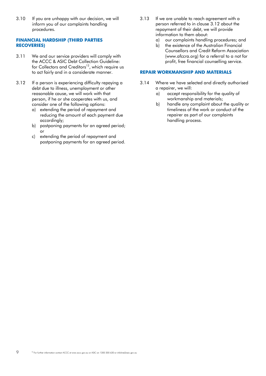3.10 If you are unhappy with our decision, we will inform you of our complaints handling procedures.

### **FINANCIAL HARDSHIP (THIRD PARTIES RECOVERIES)**

- 3.11 We and our service providers will comply with the ACCC & ASIC Debt Collection Guideline: for Collectors and Creditors<sup>12</sup>, which require us to act fairly and in a considerate manner.
- 3.12 If a person is experiencing difficulty repaying a debt due to illness, unemployment or other reasonable cause, we will work with that person, if he or she cooperates with us, and consider one of the following options:
	- a) extending the period of repayment and reducing the amount of each payment due accordingly;
	- b) postponing payments for an agreed period; or
	- c) extending the period of repayment and postponing payments for an agreed period.
- 3.13 If we are unable to reach agreement with a person referred to in clause 3.12 about the repayment of their debt, we will provide information to them about:
	- a) our complaints handling procedures; and
	- b) the existence of the Australian Financial Counsellors and Credit Reform Association (www.afccra.org) for a referral to a not for profit, free financial counselling service.

### **REPAIR WORKMANSHIP AND MATERIALS**

- 3.14 Where we have selected and directly authorised a repairer, we will:
	- a) accept responsibility for the quality of workmanship and materials;
	- b) handle any complaint about the quality or timeliness of the work or conduct of the repairer as part of our complaints handling process.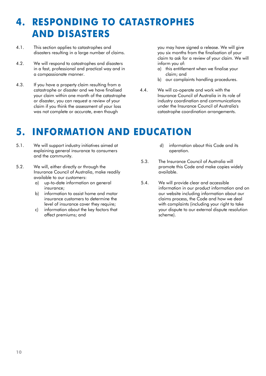### **4. RESPONDING TO CATASTROPHES AND DISASTERS**

- 4.1. This section applies to catastrophes and disasters resulting in a large number of claims.
- 4.2. We will respond to catastrophes and disasters in a fast, professional and practical way and in a compassionate manner.
- 4.3. If you have a property claim resulting from a catastrophe or disaster and we have finalised your claim within one month of the catastrophe or disaster, you can request a review of your claim if you think the assessment of your loss was not complete or accurate, even though

you may have signed a release. We will give you six months from the finalisation of your claim to ask for a review of your claim. We will inform you of:

- a) this entitlement when we finalise your claim; and
- b) our complaints handling procedures.
- 4.4. We will co-operate and work with the Insurance Council of Australia in its role of industry coordination and communications under the Insurance Council of Australia's catastrophe coordination arrangements.

### **5. INFORMATION AND EDUCATION**

- 5.1. We will support industry initiatives aimed at explaining general insurance to consumers and the community.
- 5.2. We will, either directly or through the Insurance Council of Australia, make readily available to our customers:
	- a) up-to-date information on general insurance;
	- b) information to assist home and motor insurance customers to determine the level of insurance cover they require;
	- c) information about the key factors that affect premiums; and
- d) information about this Code and its operation.
- 5.3. The Insurance Council of Australia will promote this Code and make copies widely available.
- 5.4. We will provide clear and accessible information in our product information and on our website including information about our claims process, the Code and how we deal with complaints (including your right to take your dispute to our external dispute resolution scheme).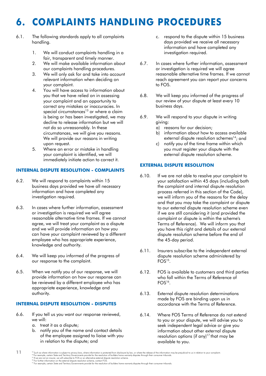# **6. COMPLAINTS HANDLING PROCEDURES**

- 6.1. The following standards apply to all complaints handling.
	- 1. We will conduct complaints handling in a fair, transparent and timely manner.
	- 2. We will make available information about our complaints handling procedures.
	- 3. We will only ask for and take into account relevant information when deciding on your complaint.
	- 4. You will have access to information about you that we have relied on in assessing your complaint and an opportunity to correct any mistakes or inaccuracies. In special circumstances<sup>13</sup> or where a claim is being or has been investigated, we may decline to release information but we will not do so unreasonably. In these circumstances, we will give you reasons. We will provide our reasons in writing upon request.
	- 5. Where an error or mistake in handling your complaint is identified, we will immediately initiate action to correct it.

#### **INTERNAL DISPUTE RESOLUTION - COMPLAINTS**

- 6.2. We will respond to complaints within 15 business days provided we have all necessary information and have completed any investigation required.
- 6.3. In cases where further information, assessment or investigation is required we will agree reasonable alternative time frames. If we cannot agree, we will treat your complaint as a dispute and we will provide information on how you can have your complaint reviewed by a different employee who has appropriate experience, knowledge and authority.
- 6.4. We will keep you informed of the progress of our response to the complaint.
- 6.5. When we notify you of our response, we will provide information on how our response can be reviewed by a different employee who has appropriate experience, knowledge and authority.

#### **INTERNAL DISPUTE RESOLUTION - DISPUTES**

- 6.6. If you tell us you want our response reviewed, we will:
	- a. treat it as a dispute;
	- b. notify you of the name and contact details of the employee assigned to liaise with you in relation to the dispute; and
- c. respond to the dispute within 15 business days provided we receive all necessary information and have completed any investigation required.
- 6.7. In cases where further information, assessment or investigation is required we will agree reasonable alternative time frames. If we cannot reach agreement you can report your concerns to FOS.
- 6.8. We will keep you informed of the progress of our review of your dispute at least every 10 business days.
- 6.9. We will respond to your dispute in writing giving:
	- a) reasons for our decision;
	- b) information about how to access available external dispute resolution schemes<sup>14</sup>; and
	- c) notify you of the time frame within which you must register your dispute with the external dispute resolution scheme.

### **EXTERNAL DISPUTE RESOLUTION**

- 6.10. If we are not able to resolve your complaint to your satisfaction within 45 days (including both the complaint and internal dispute resolution process referred in this section of the Code), we will inform you of the reasons for the delay and that you may take the complaint or dispute to our external dispute resolution scheme even if we are still considering it (and provided the complaint or dispute is within the scheme's Terms of Reference). We will inform you that you have this right and details of our external dispute resolution scheme before the end of the 45-day period.
- 6.11. Insurers subscribe to the independent external dispute resolution scheme administered by  $FOS<sup>15</sup>$ .
- 6.12. FOS is available to customers and third parties who fall within the Terms of Reference of FOS<sup>16</sup>.
- 6.13. External dispute resolution determinations made by FOS are binding upon us in accordance with the Terms of Reference.
- 6.14. Where FOS Terms of Reference do not extend to you or your dispute, we will advise you to seek independent legal advice or give you information about other external dispute resolution options (if any)<sup>17</sup> that may be available to you.

**<sup>11</sup>** <sup>13</sup> Such as where information is subject to privacy laws, where information is protected from disclosure by law, or where the release of the information may be prejudicial to us in relation to your complaint.<br><sup>15</sup> If we a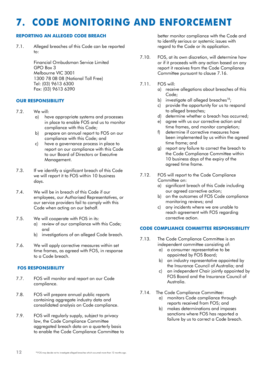# **7. CODE MONITORING AND ENFORCEMENT**

### **REPORTING AN ALLEGED CODE BREACH**

7.1. Alleged breaches of this Code can be reported  $to$ :

> Financial Ombudsman Service Limited GPO Box 3 Melbourne VIC 3001 1300 78 08 08 (National Toll Free) Tel: (03) 9613 6300 Fax: (03) 9613 6390

### **OUR RESPONSIBILITY**

- 7.2. We will:
	- a) have appropriate systems and processes in place to enable FOS and us to monitor compliance with this Code;
	- b) prepare an annual report to FOS on our compliance with this Code; and
	- c) have a governance process in place to report on our compliance with this Code to our Board of Directors or Executive Management.
- 7.3. If we identify a significant breach of this Code we will report it to FOS within 10 business days.
- 7.4. We will be in breach of this Code if our employees, our Authorised Representatives, or our service providers fail to comply with this Code when acting on our behalf.
- 7.5. We will cooperate with FOS in its:
	- a) review of our compliance with this Code; and
	- b) investigations of an alleged Code breach.
- 7.6. We will apply corrective measures within set time frames, as agreed with FOS, in response to a Code breach.

### **FOS RESPONSIBILITY**

- 7.7. FOS will monitor and report on our Code compliance.
- 7.8. FOS will prepare annual public reports containing aggregate industry data and consolidated analysis on Code compliance.
- 7.9. FOS will regularly supply, subject to privacy law, the Code Compliance Committee aggregated breach data on a quarterly basis to enable the Code Compliance Committee to

better monitor compliance with the Code and to identify serious or systemic issues with regard to the Code or its application.

- 7.10. FOS, at its own discretion, will determine how or if it proceeds with any action based on any report it receives from the Code Compliance Committee pursuant to clause 7.16.
- 7.11. FOS will:
	- a) receive allegations about breaches of this Code;
	- b) investigate all alleged breaches<sup>18</sup>;
	- c) provide the opportunity for us to respond to alleged breaches;
	- d) determine whether a breach has occurred;
	- e) agree with us our corrective action and time frames, and monitor completion;
	- f) determine if corrective measures have been implemented by us within the agreed time frame; and
	- g) report any failure to correct the breach to the Code Compliance Committee within 10 business days of the expiry of the agreed time frame.
- 7.12. FOS will report to the Code Compliance Committee on:
	- a) significant breach of this Code including our agreed corrective action;
	- b) on the outcomes of FOS Code compliance monitoring reviews; and
	- c) any incidents where we are unable to reach agreement with FOS regarding corrective action.

### **CODE COMPLIANCE COMMITTEE RESPONSIBILITY**

- 7.13. The Code Compliance Committee is an independent committee consisting of:
	- a) a consumer representative to be appointed by FOS Board;
	- b) an industry representative appointed by the Insurance Council of Australia; and
	- c) an independent Chair jointly appointed by FOS Board and the Insurance Council of Australia.
- 7.14. The Code Compliance Committee:
	- a) monitors Code compliance through reports received from FOS; and
	- b) makes determinations and imposes sanctions where FOS has reported a failure by us to correct a Code breach.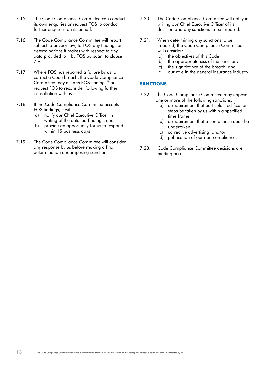- 7.15. The Code Compliance Committee can conduct its own enquiries or request FOS to conduct further enquiries on its behalf.
- 7.16. The Code Compliance Committee will report, subject to privacy law, to FOS any findings or determinations it makes with respect to any data provided to it by FOS pursuant to clause 7.9.
- 7.17. Where FOS has reported a failure by us to correct a Code breach, the Code Compliance Committee may dismiss FOS findings<sup>19</sup> or request FOS to reconsider following further consultation with us.
- 7.18. If the Code Compliance Committee accepts FOS findings, it will:
	- a) notify our Chief Executive Officer in writing of the detailed findings; and
	- b) provide an opportunity for us to respond within 15 business days.
- 7.19. The Code Compliance Committee will consider any response by us before making a final determination and imposing sanctions.
- 7.20. The Code Compliance Committee will notify in writing our Chief Executive Officer of its decision and any sanctions to be imposed.
- 7.21. When determining any sanctions to be imposed, the Code Compliance Committee will consider:
	- a) the objectives of this Code;
	- b) the appropriateness of the sanction:
	- c) the significance of the breach; and
	- d) our role in the general insurance industry.

### **SANCTIONS**

- 7.22. The Code Compliance Committee may impose one or more of the following sanctions:
	- a) a requirement that particular rectification steps be taken by us within a specified time frame;
	- b) a requirement that a compliance audit be undertaken;
	- c) corrective advertising; and/or
	- d) publication of our non-compliance.
- 7.23. Code Compliance Committee decisions are binding on us.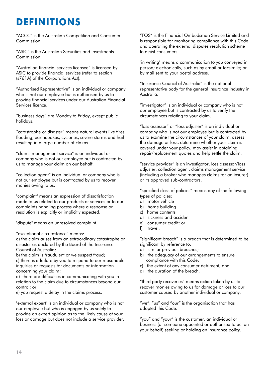## **DEFINITIONS**

"ACCC" is the Australian Competition and Consumer Commission.

"ASIC" is the Australian Securities and Investments Commission.

"Australian financial services licensee" is licensed by ASIC to provide financial services (refer to section (s761A) of the Corporations Act).

"Authorised Representative" is an individual or company who is not our employee but is authorised by us to provide financial services under our Australian Financial Services licence.

"business days" are Monday to Friday, except public holidays.

"catastrophe or disaster" means natural events like fires, flooding, earthquakes, cyclones, severe storms and hail resulting in a large number of claims.

"claims management service" is an individual or company who is not our employee but is contracted by us to manage your claim on our behalf.

"collection agent" is an individual or company who is not our employee but is contracted by us to recover monies owing to us.

"complaint" means an expression of dissatisfaction made to us related to our products or services or to our complaints handling process where a response or resolution is explicitly or implicitly expected.

"dispute" means an unresolved complaint.

"exceptional circumstance" means:

a) the claim arises from an extraordinary catastrophe or disaster as declared by the Board of the Insurance Council of Australia;

b) the claim is fraudulent or we suspect fraud;

c) there is a failure by you to respond to our reasonable inquiries or requests for documents or information concerning your claim;

d) there are difficulties in communicating with you in relation to the claim due to circumstances beyond our control; or

e) you request a delay in the claims process.

"external expert" is an individual or company who is not our employee but who is engaged by us solely to provide an expert opinion as to the likely cause of your loss or damage but does not include a service provider.

"FOS" is the Financial Ombudsman Service Limited and is responsible for monitoring compliance with this Code and operating the external disputes resolution scheme to assist consumers.

"in writing" means a communication to you conveyed in person; electronically, such as by email or facsimile; or by mail sent to your postal address.

"Insurance Council of Australia" is the national representative body for the general insurance industry in Australia.

"investigator" is an individual or company who is not our employee but is contracted by us to verify the circumstances relating to your claim.

"loss assessor" or "loss adjuster" is an individual or company who is not our employee but is contracted by us to examine the circumstances of your claim, assess the damage or loss, determine whether your claim is covered under your policy, may assist in obtaining repair/replacement quotes and help settle the claim.

"service provider" is an investigator, loss assessor/loss adjuster, collection agent, claims management service (including a broker who manages claims for an insurer) or its approved sub-contractors.

"specified class of policies" means any of the following types of policies:

- a) motor vehicle
- b) home building
- c) home contents
- d) sickness and accident
- e) consumer credit; or
- f) travel.

"significant breach" is a breach that is determined to be significant by reference to:

- a) similar previous breaches;
- b) the adequacy of our arrangements to ensure compliance with this Code;
- c) the extent of any consumer detriment; and
- d) the duration of the breach.

"third party recoveries" means action taken by us to recover monies owing to us for damage or loss to our customer caused by another individual or company.

"we", "us" and "our" is the organisation that has adopted this Code.

"you" and "your" is the customer, an individual or business (or someone appointed or authorised to act on your behalf) seeking or holding an insurance policy.